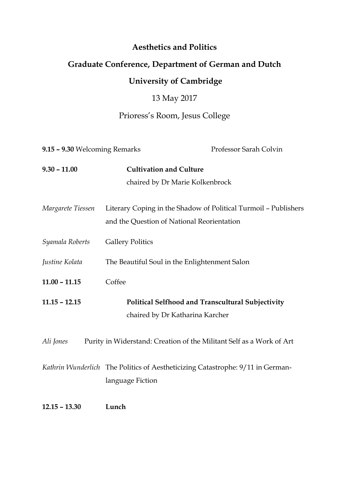#### **Aesthetics and Politics**

### **Graduate Conference, Department of German and Dutch**

### **University of Cambridge**

## 13 May 2017

# Prioress's Room, Jesus College

| 9.15 - 9.30 Welcoming Remarks |                                                                                                               | Professor Sarah Colvin |
|-------------------------------|---------------------------------------------------------------------------------------------------------------|------------------------|
| $9.30 - 11.00$                | <b>Cultivation and Culture</b>                                                                                |                        |
|                               | chaired by Dr Marie Kolkenbrock                                                                               |                        |
| Margarete Tiessen             | Literary Coping in the Shadow of Political Turmoil - Publishers<br>and the Question of National Reorientation |                        |
| Syamala Roberts               | <b>Gallery Politics</b>                                                                                       |                        |
| Justine Kolata                | The Beautiful Soul in the Enlightenment Salon                                                                 |                        |
| $11.00 - 11.15$               | Coffee                                                                                                        |                        |
| $11.15 - 12.15$               | Political Selfhood and Transcultural Subjectivity<br>chaired by Dr Katharina Karcher                          |                        |
| Ali Jones                     | Purity in Widerstand: Creation of the Militant Self as a Work of Art                                          |                        |
|                               | Kathrin Wunderlich The Politics of Aestheticizing Catastrophe: 9/11 in German-<br>language Fiction            |                        |
| $12.15 - 13.30$               | Lunch                                                                                                         |                        |